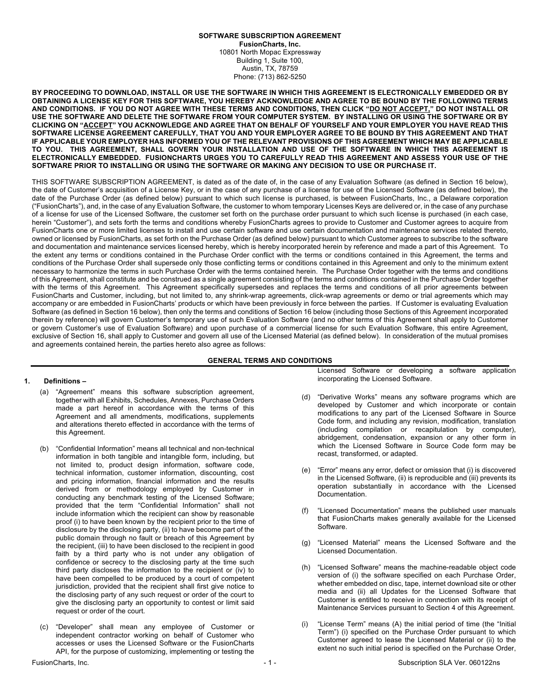#### **SOFTWARE SUBSCRIPTION AGREEMENT FusionCharts, Inc.** 10801 North Mopac Expressway Building 1, Suite 100, Austin, TX, 78759 Phone: (713) 862-5250

**BY PROCEEDING TO DOWNLOAD, INSTALL OR USE THE SOFTWARE IN WHICH THIS AGREEMENT IS ELECTRONICALLY EMBEDDED OR BY OBTAINING A LICENSE KEY FOR THIS SOFTWARE, YOU HEREBY ACKNOWLEDGE AND AGREE TO BE BOUND BY THE FOLLOWING TERMS AND CONDITIONS. IF YOU DO NOT AGREE WITH THESE TERMS AND CONDITIONS, THEN CLICK "DO NOT ACCEPT," DO NOT INSTALL OR USE THE SOFTWARE AND DELETE THE SOFTWARE FROM YOUR COMPUTER SYSTEM. BY INSTALLING OR USING THE SOFTWARE OR BY CLICKING ON "ACCEPT" YOU ACKNOWLEDGE AND AGREE THAT ON BEHALF OF YOURSELF AND YOUR EMPLOYER YOU HAVE READ THIS SOFTWARE LICENSE AGREEMENT CAREFULLY, THAT YOU AND YOUR EMPLOYER AGREE TO BE BOUND BY THIS AGREEMENT AND THAT IF APPLICABLE YOUR EMPLOYER HAS INFORMED YOU OF THE RELEVANT PROVISIONS OF THIS AGREEMENT WHICH MAY BE APPLICABLE TO YOU. THIS AGREEMENT, SHALL GOVERN YOUR INSTALLATION AND USE OF THE SOFTWARE IN WHICH THIS AGREEMENT IS ELECTRONICALLY EMBEDDED. FUSIONCHARTS URGES YOU TO CAREFULLY READ THIS AGREEMENT AND ASSESS YOUR USE OF THE SOFTWARE PRIOR TO INSTALLING OR USING THE SOFTWARE OR MAKING ANY DECISION TO USE OR PURCHASE IT.**

THIS SOFTWARE SUBSCRIPTION AGREEMENT, is dated as of the date of, in the case of any Evaluation Software (as defined in Section 16 below), the date of Customer's acquisition of a License Key, or in the case of any purchase of a license for use of the Licensed Software (as defined below), the date of the Purchase Order (as defined below) pursuant to which such license is purchased, is between FusionCharts, Inc., a Delaware corporation ("FusionCharts"), and, in the case of any Evaluation Software, the customer to whom temporary Licenses Keys are delivered or, in the case of any purchase of a license for use of the Licensed Software, the customer set forth on the purchase order pursuant to which such license is purchased (in each case, herein "Customer"), and sets forth the terms and conditions whereby FusionCharts agrees to provide to Customer and Customer agrees to acquire from FusionCharts one or more limited licenses to install and use certain software and use certain documentation and maintenance services related thereto, owned or licensed by FusionCharts, as set forth on the Purchase Order (as defined below) pursuant to which Customer agrees to subscribe to the software and documentation and maintenance services licensed hereby, which is hereby incorporated herein by reference and made a part of this Agreement. To the extent any terms or conditions contained in the Purchase Order conflict with the terms or conditions contained in this Agreement, the terms and conditions of the Purchase Order shall supersede only those conflicting terms or conditions contained in this Agreement and only to the minimum extent necessary to harmonize the terms in such Purchase Order with the terms contained herein. The Purchase Order together with the terms and conditions of this Agreement, shall constitute and be construed as a single agreement consisting of the terms and conditions contained in the Purchase Order together with the terms of this Agreement. This Agreement specifically supersedes and replaces the terms and conditions of all prior agreements between FusionCharts and Customer, including, but not limited to, any shrink-wrap agreements, click-wrap agreements or demo or trial agreements which may accompany or are embedded in FusionCharts' products or which have been previously in force between the parties. If Customer is evaluating Evaluation Software (as defined in Section 16 below), then only the terms and conditions of Section 16 below (including those Sections of this Agreement incorporated therein by reference) will govern Customer's temporary use of such Evaluation Software (and no other terms of this Agreement shall apply to Customer or govern Customer's use of Evaluation Software) and upon purchase of a commercial license for such Evaluation Software, this entire Agreement, exclusive of Section 16, shall apply to Customer and govern all use of the Licensed Material (as defined below). In consideration of the mutual promises and agreements contained herein, the parties hereto also agree as follows:

## **GENERAL TERMS AND CONDITIONS**

### **1. Definitions –**

- (a) "Agreement" means this software subscription agreement, together with all Exhibits, Schedules, Annexes, Purchase Orders made a part hereof in accordance with the terms of this Agreement and all amendments, modifications, supplements and alterations thereto effected in accordance with the terms of this Agreement.
- (b) "Confidential Information" means all technical and non-technical information in both tangible and intangible form, including, but not limited to, product design information, software code, technical information, customer information, discounting, cost and pricing information, financial information and the results derived from or methodology employed by Customer in conducting any benchmark testing of the Licensed Software; provided that the term "Confidential Information" shall not include information which the recipient can show by reasonable proof (i) to have been known by the recipient prior to the time of disclosure by the disclosing party, (ii) to have become part of the public domain through no fault or breach of this Agreement by the recipient, (iii) to have been disclosed to the recipient in good faith by a third party who is not under any obligation of confidence or secrecy to the disclosing party at the time such third party discloses the information to the recipient or (iv) to have been compelled to be produced by a court of competent jurisdiction, provided that the recipient shall first give notice to the disclosing party of any such request or order of the court to give the disclosing party an opportunity to contest or limit said request or order of the court.
- (c) "Developer" shall mean any employee of Customer or independent contractor working on behalf of Customer who accesses or uses the Licensed Software or the FusionCharts API, for the purpose of customizing, implementing or testing the

Licensed Software or developing a software application incorporating the Licensed Software.

- (d) "Derivative Works" means any software programs which are developed by Customer and which incorporate or contain modifications to any part of the Licensed Software in Source Code form, and including any revision, modification, translation (including compilation or recapitulation by computer), abridgement, condensation, expansion or any other form in which the Licensed Software in Source Code form may be recast, transformed, or adapted.
- (e) "Error" means any error, defect or omission that (i) is discovered in the Licensed Software, (ii) is reproducible and (iii) prevents its operation substantially in accordance with the Licensed Documentation.
- "Licensed Documentation" means the published user manuals that FusionCharts makes generally available for the Licensed Software.
- (g) "Licensed Material" means the Licensed Software and the Licensed Documentation.
- (h) "Licensed Software" means the machine-readable object code version of (i) the software specified on each Purchase Order, whether embedded on disc, tape, internet download site or other media and (ii) all Updates for the Licensed Software that Customer is entitled to receive in connection with its receipt of Maintenance Services pursuant to Section 4 of this Agreement.
- (i) "License Term" means (A) the initial period of time (the "Initial Term") (i) specified on the Purchase Order pursuant to which Customer agreed to lease the Licensed Material or (ii) to the extent no such initial period is specified on the Purchase Order,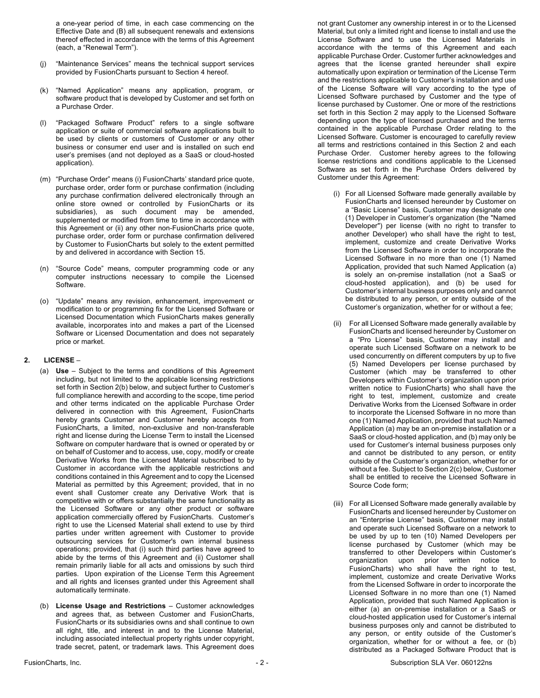a one-year period of time, in each case commencing on the Effective Date and (B) all subsequent renewals and extensions thereof effected in accordance with the terms of this Agreement (each, a "Renewal Term").

- (j) "Maintenance Services" means the technical support services provided by FusionCharts pursuant to Section 4 hereof.
- (k) "Named Application" means any application, program, or software product that is developed by Customer and set forth on a Purchase Order.
- (l) "Packaged Software Product" refers to a single software application or suite of commercial software applications built to be used by clients or customers of Customer or any other business or consumer end user and is installed on such end user's premises (and not deployed as a SaaS or cloud-hosted application).
- (m) "Purchase Order" means (i) FusionCharts' standard price quote, purchase order, order form or purchase confirmation (including any purchase confirmation delivered electronically through an online store owned or controlled by FusionCharts or its subsidiaries), as such document may be amended, supplemented or modified from time to time in accordance with this Agreement or (ii) any other non-FusionCharts price quote, purchase order, order form or purchase confirmation delivered by Customer to FusionCharts but solely to the extent permitted by and delivered in accordance with Section 15.
- (n) "Source Code" means, computer programming code or any computer instructions necessary to compile the Licensed Software.
- (o) "Update" means any revision, enhancement, improvement or modification to or programming fix for the Licensed Software or Licensed Documentation which FusionCharts makes generally available, incorporates into and makes a part of the Licensed Software or Licensed Documentation and does not separately price or market.

### **2. LICENSE** –

- (a) **Use** Subject to the terms and conditions of this Agreement including, but not limited to the applicable licensing restrictions set forth in Section 2(b) below, and subject further to Customer's full compliance herewith and according to the scope, time period and other terms indicated on the applicable Purchase Order delivered in connection with this Agreement, FusionCharts hereby grants Customer and Customer hereby accepts from FusionCharts, a limited, non-exclusive and non-transferable right and license during the License Term to install the Licensed Software on computer hardware that is owned or operated by or on behalf of Customer and to access, use, copy, modify or create Derivative Works from the Licensed Material subscribed to by Customer in accordance with the applicable restrictions and conditions contained in this Agreement and to copy the Licensed Material as permitted by this Agreement; provided, that in no event shall Customer create any Derivative Work that is competitive with or offers substantially the same functionality as the Licensed Software or any other product or software application commercially offered by FusionCharts. Customer's right to use the Licensed Material shall extend to use by third parties under written agreement with Customer to provide outsourcing services for Customer's own internal business operations; provided, that (i) such third parties have agreed to abide by the terms of this Agreement and (ii) Customer shall remain primarily liable for all acts and omissions by such third parties. Upon expiration of the License Term this Agreement and all rights and licenses granted under this Agreement shall automatically terminate.
- (b) **License Usage and Restrictions**  Customer acknowledges and agrees that, as between Customer and FusionCharts, FusionCharts or its subsidiaries owns and shall continue to own all right, title, and interest in and to the License Material, including associated intellectual property rights under copyright, trade secret, patent, or trademark laws. This Agreement does

not grant Customer any ownership interest in or to the Licensed Material, but only a limited right and license to install and use the License Software and to use the Licensed Materials in accordance with the terms of this Agreement and each applicable Purchase Order. Customer further acknowledges and agrees that the license granted hereunder shall expire automatically upon expiration or termination of the License Term and the restrictions applicable to Customer's installation and use of the License Software will vary according to the type of Licensed Software purchased by Customer and the type of license purchased by Customer. One or more of the restrictions set forth in this Section 2 may apply to the Licensed Software depending upon the type of licensed purchased and the terms contained in the applicable Purchase Order relating to the Licensed Software. Customer is encouraged to carefully review all terms and restrictions contained in this Section 2 and each Purchase Order. Customer hereby agrees to the following license restrictions and conditions applicable to the Licensed Software as set forth in the Purchase Orders delivered by Customer under this Agreement:

- (i) For all Licensed Software made generally available by FusionCharts and licensed hereunder by Customer on a "Basic License" basis, Customer may designate one (1) Developer in Customer's organization (the "Named Developer") per license (with no right to transfer to another Developer) who shall have the right to test, implement, customize and create Derivative Works from the Licensed Software in order to incorporate the Licensed Software in no more than one (1) Named Application, provided that such Named Application (a) is solely an on-premise installation (not a SaaS or cloud-hosted application), and (b) be used for Customer's internal business purposes only and cannot be distributed to any person, or entity outside of the Customer's organization, whether for or without a fee;
- (ii) For all Licensed Software made generally available by FusionCharts and licensed hereunder by Customer on a "Pro License" basis, Customer may install and operate such Licensed Software on a network to be used concurrently on different computers by up to five (5) Named Developers per license purchased by Customer (which may be transferred to other Developers within Customer's organization upon prior written notice to FusionCharts) who shall have the right to test, implement, customize and create Derivative Works from the Licensed Software in order to incorporate the Licensed Software in no more than one (1) Named Application, provided that such Named Application (a) may be an on-premise installation or a SaaS or cloud-hosted application, and (b) may only be used for Customer's internal business purposes only and cannot be distributed to any person, or entity outside of the Customer's organization, whether for or without a fee. Subject to Section 2(c) below, Customer shall be entitled to receive the Licensed Software in Source Code form;
- (iii) For all Licensed Software made generally available by FusionCharts and licensed hereunder by Customer on an "Enterprise License" basis, Customer may install and operate such Licensed Software on a network to be used by up to ten (10) Named Developers per license purchased by Customer (which may be transferred to other Developers within Customer's organization upon prior written notice to FusionCharts) who shall have the right to test, implement, customize and create Derivative Works from the Licensed Software in order to incorporate the Licensed Software in no more than one (1) Named Application, provided that such Named Application is either (a) an on-premise installation or a SaaS or cloud-hosted application used for Customer's internal business purposes only and cannot be distributed to any person, or entity outside of the Customer's organization, whether for or without a fee, or (b) distributed as a Packaged Software Product that is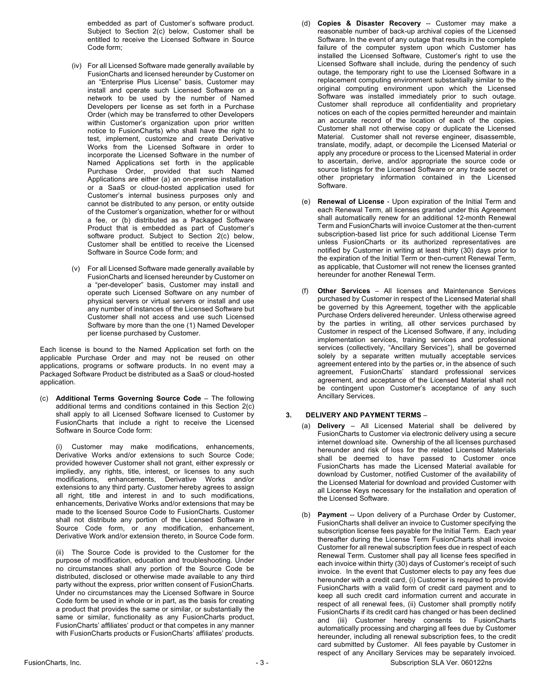embedded as part of Customer's software product. Subject to Section 2(c) below, Customer shall be entitled to receive the Licensed Software in Source Code form;

- (iv) For all Licensed Software made generally available by FusionCharts and licensed hereunder by Customer on an "Enterprise Plus License" basis, Customer may install and operate such Licensed Software on a network to be used by the number of Named Developers per license as set forth in a Purchase Order (which may be transferred to other Developers within Customer's organization upon prior written notice to FusionCharts) who shall have the right to test, implement, customize and create Derivative Works from the Licensed Software in order to incorporate the Licensed Software in the number of Named Applications set forth in the applicable Purchase Order, provided that such Named Applications are either (a) an on-premise installation or a SaaS or cloud-hosted application used for Customer's internal business purposes only and cannot be distributed to any person, or entity outside of the Customer's organization, whether for or without a fee, or (b) distributed as a Packaged Software Product that is embedded as part of Customer's software product. Subject to Section 2(c) below, Customer shall be entitled to receive the Licensed Software in Source Code form; and
- (v) For all Licensed Software made generally available by FusionCharts and licensed hereunder by Customer on a "per-developer" basis, Customer may install and operate such Licensed Software on any number of physical servers or virtual servers or install and use any number of instances of the Licensed Software but Customer shall not access and use such Licensed Software by more than the one (1) Named Developer per license purchased by Customer.

Each license is bound to the Named Application set forth on the applicable Purchase Order and may not be reused on other applications, programs or software products. In no event may a Packaged Software Product be distributed as a SaaS or cloud-hosted application.

(c) **Additional Terms Governing Source Code** – The following additional terms and conditions contained in this Section 2(c) shall apply to all Licensed Software licensed to Customer by FusionCharts that include a right to receive the Licensed Software in Source Code form:

Customer may make modifications, enhancements, Derivative Works and/or extensions to such Source Code; provided however Customer shall not grant, either expressly or impliedly, any rights, title, interest, or licenses to any such modifications, enhancements, Derivative Works and/or extensions to any third party. Customer hereby agrees to assign all right, title and interest in and to such modifications, enhancements, Derivative Works and/or extensions that may be made to the licensed Source Code to FusionCharts. Customer shall not distribute any portion of the Licensed Software in Source Code form, or any modification, enhancement, Derivative Work and/or extension thereto, in Source Code form.

(ii) The Source Code is provided to the Customer for the purpose of modification, education and troubleshooting. Under no circumstances shall any portion of the Source Code be distributed, disclosed or otherwise made available to any third party without the express, prior written consent of FusionCharts. Under no circumstances may the Licensed Software in Source Code form be used in whole or in part, as the basis for creating a product that provides the same or similar, or substantially the same or similar, functionality as any FusionCharts product, FusionCharts' affiliates' product or that competes in any manner with FusionCharts products or FusionCharts' affiliates' products.

- (d) **Copies & Disaster Recovery** -- Customer may make a reasonable number of back-up archival copies of the Licensed Software. In the event of any outage that results in the complete failure of the computer system upon which Customer has installed the Licensed Software, Customer's right to use the Licensed Software shall include, during the pendency of such outage, the temporary right to use the Licensed Software in a replacement computing environment substantially similar to the original computing environment upon which the Licensed Software was installed immediately prior to such outage. Customer shall reproduce all confidentiality and proprietary notices on each of the copies permitted hereunder and maintain an accurate record of the location of each of the copies. Customer shall not otherwise copy or duplicate the Licensed Material. Customer shall not reverse engineer, disassemble, translate, modify, adapt, or decompile the Licensed Material or apply any procedure or process to the Licensed Material in order to ascertain, derive, and/or appropriate the source code or source listings for the Licensed Software or any trade secret or other proprietary information contained in the Licensed Software.
- (e) **Renewal of License**  Upon expiration of the Initial Term and each Renewal Term, all licenses granted under this Agreement shall automatically renew for an additional 12-month Renewal Term and FusionCharts will invoice Customer at the then-current subscription-based list price for such additional License Term unless FusionCharts or its authorized representatives are notified by Customer in writing at least thirty (30) days prior to the expiration of the Initial Term or then-current Renewal Term, as applicable, that Customer will not renew the licenses granted hereunder for another Renewal Term.
- (f) **Other Services**  All licenses and Maintenance Services purchased by Customer in respect of the Licensed Material shall be governed by this Agreement, together with the applicable Purchase Orders delivered hereunder. Unless otherwise agreed by the parties in writing, all other services purchased by Customer in respect of the Licensed Software, if any, including implementation services, training services and professional services (collectively, "Ancillary Services"), shall be governed solely by a separate written mutually acceptable services agreement entered into by the parties or, in the absence of such agreement, FusionCharts' standard professional services agreement, and acceptance of the Licensed Material shall not be contingent upon Customer's acceptance of any such Ancillary Services.

## **3. DELIVERY AND PAYMENT TERMS** –

- (a) **Delivery** All Licensed Material shall be delivered by FusionCharts to Customer via electronic delivery using a secure internet download site. Ownership of the all licenses purchased hereunder and risk of loss for the related Licensed Materials shall be deemed to have passed to Customer once FusionCharts has made the Licensed Material available for download by Customer, notified Customer of the availability of the Licensed Material for download and provided Customer with all License Keys necessary for the installation and operation of the Licensed Software.
- (b) **Payment** -- Upon delivery of a Purchase Order by Customer, FusionCharts shall deliver an invoice to Customer specifying the subscription license fees payable for the Initial Term. Each year thereafter during the License Term FusionCharts shall invoice Customer for all renewal subscription fees due in respect of each Renewal Term. Customer shall pay all license fees specified in each invoice within thirty (30) days of Customer's receipt of such invoice. In the event that Customer elects to pay any fees due hereunder with a credit card, (i) Customer is required to provide FusionCharts with a valid form of credit card payment and to keep all such credit card information current and accurate in respect of all renewal fees, (ii) Customer shall promptly notify FusionCharts if its credit card has changed or has been declined and (iii) Customer hereby consents to FusionCharts automatically processing and charging all fees due by Customer hereunder, including all renewal subscription fees, to the credit card submitted by Customer. All fees payable by Customer in respect of any Ancillary Services may be separately invoiced.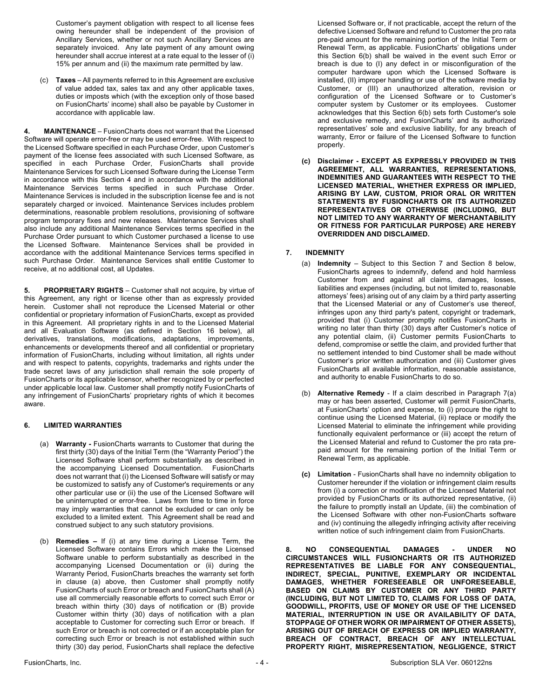Customer's payment obligation with respect to all license fees owing hereunder shall be independent of the provision of Ancillary Services, whether or not such Ancillary Services are separately invoiced. Any late payment of any amount owing hereunder shall accrue interest at a rate equal to the lesser of (i) 15% per annum and (ii) the maximum rate permitted by law.

(c) **Taxes** – All payments referred to in this Agreement are exclusive of value added tax, sales tax and any other applicable taxes, duties or imposts which (with the exception only of those based on FusionCharts' income) shall also be payable by Customer in accordance with applicable law.

**4. MAINTENANCE** – FusionCharts does not warrant that the Licensed Software will operate error-free or may be used error-free. With respect to the Licensed Software specified in each Purchase Order, upon Customer's payment of the license fees associated with such Licensed Software, as specified in each Purchase Order, FusionCharts shall provide Maintenance Services for such Licensed Software during the License Term in accordance with this Section 4 and in accordance with the additional Maintenance Services terms specified in such Purchase Order. Maintenance Services is included in the subscription license fee and is not separately charged or invoiced. Maintenance Services includes problem determinations, reasonable problem resolutions, provisioning of software program temporary fixes and new releases. Maintenance Services shall also include any additional Maintenance Services terms specified in the Purchase Order pursuant to which Customer purchased a license to use the Licensed Software. Maintenance Services shall be provided in accordance with the additional Maintenance Services terms specified in such Purchase Order. Maintenance Services shall entitle Customer to receive, at no additional cost, all Updates.

**5. PROPRIETARY RIGHTS** – Customer shall not acquire, by virtue of this Agreement, any right or license other than as expressly provided herein. Customer shall not reproduce the Licensed Material or other confidential or proprietary information of FusionCharts, except as provided in this Agreement. All proprietary rights in and to the Licensed Material and all Evaluation Software (as defined in Section 16 below), all derivatives, translations, modifications, adaptations, improvements, enhancements or developments thereof and all confidential or proprietary information of FusionCharts, including without limitation, all rights under and with respect to patents, copyrights, trademarks and rights under the trade secret laws of any jurisdiction shall remain the sole property of FusionCharts or its applicable licensor, whether recognized by or perfected under applicable local law. Customer shall promptly notify FusionCharts of any infringement of FusionCharts' proprietary rights of which it becomes aware.

## **6. LIMITED WARRANTIES**

- (a) **Warranty -** FusionCharts warrants to Customer that during the first thirty (30) days of the Initial Term (the "Warranty Period") the Licensed Software shall perform substantially as described in the accompanying Licensed Documentation. FusionCharts does not warrant that (i) the Licensed Software will satisfy or may be customized to satisfy any of Customer's requirements or any other particular use or (ii) the use of the Licensed Software will be uninterrupted or error-free. Laws from time to time in force may imply warranties that cannot be excluded or can only be excluded to a limited extent. This Agreement shall be read and construed subject to any such statutory provisions.
- (b) **Remedies –** If (i) at any time during a License Term, the Licensed Software contains Errors which make the Licensed Software unable to perform substantially as described in the accompanying Licensed Documentation or (ii) during the Warranty Period, FusionCharts breaches the warranty set forth in clause (a) above, then Customer shall promptly notify FusionCharts of such Error or breach and FusionCharts shall (A) use all commercially reasonable efforts to correct such Error or breach within thirty (30) days of notification or (B) provide Customer within thirty (30) days of notification with a plan acceptable to Customer for correcting such Error or breach. If such Error or breach is not corrected or if an acceptable plan for correcting such Error or breach is not established within such thirty (30) day period, FusionCharts shall replace the defective

Licensed Software or, if not practicable, accept the return of the defective Licensed Software and refund to Customer the pro rata pre-paid amount for the remaining portion of the Initial Term or Renewal Term, as applicable. FusionCharts' obligations under this Section 6(b) shall be waived in the event such Error or breach is due to (I) any defect in or misconfiguration of the computer hardware upon which the Licensed Software is installed, (II) improper handling or use of the software media by Customer, or (III) an unauthorized alteration, revision or configuration of the Licensed Software or to Customer's computer system by Customer or its employees. Customer acknowledges that this Section 6(b) sets forth Customer's sole and exclusive remedy, and FusionCharts' and its authorized representatives' sole and exclusive liability, for any breach of warranty, Error or failure of the Licensed Software to function properly.

**(c) Disclaimer - EXCEPT AS EXPRESSLY PROVIDED IN THIS AGREEMENT, ALL WARRANTIES, REPRESENTATIONS, INDEMNITIES AND GUARANTEES WITH RESPECT TO THE LICENSED MATERIAL, WHETHER EXPRESS OR IMPLIED, ARISING BY LAW, CUSTOM, PRIOR ORAL OR WRITTEN STATEMENTS BY FUSIONCHARTS OR ITS AUTHORIZED REPRESENTATIVES OR OTHERWISE (INCLUDING, BUT NOT LIMITED TO ANY WARRANTY OF MERCHANTABILITY OR FITNESS FOR PARTICULAR PURPOSE) ARE HEREBY OVERRIDDEN AND DISCLAIMED.**

# **7. INDEMNITY**

- (a) **Indemnity** Subject to this Section 7 and Section 8 below, FusionCharts agrees to indemnify, defend and hold harmless Customer from and against all claims, damages, losses, liabilities and expenses (including, but not limited to, reasonable attorneys' fees) arising out of any claim by a third party asserting that the Licensed Material or any of Customer's use thereof, infringes upon any third party's patent, copyright or trademark, provided that (i) Customer promptly notifies FusionCharts in writing no later than thirty (30) days after Customer's notice of any potential claim, (ii) Customer permits FusionCharts to defend, compromise or settle the claim, and provided further that no settlement intended to bind Customer shall be made without Customer's prior written authorization and (iii) Customer gives FusionCharts all available information, reasonable assistance, and authority to enable FusionCharts to do so.
- (b) **Alternative Remedy** If a claim described in Paragraph 7(a) may or has been asserted, Customer will permit FusionCharts, at FusionCharts' option and expense, to (i) procure the right to continue using the Licensed Material, (ii) replace or modify the Licensed Material to eliminate the infringement while providing functionally equivalent performance or (iii) accept the return of the Licensed Material and refund to Customer the pro rata prepaid amount for the remaining portion of the Initial Term or Renewal Term, as applicable.
- **(c) Limitation** FusionCharts shall have no indemnity obligation to Customer hereunder if the violation or infringement claim results from (i) a correction or modification of the Licensed Material not provided by FusionCharts or its authorized representative, (ii) the failure to promptly install an Update, (iii) the combination of the Licensed Software with other non-FusionCharts software and (iv) continuing the allegedly infringing activity after receiving written notice of such infringement claim from FusionCharts.

**8. NO CONSEQUENTIAL DAMAGES - UNDER NO CIRCUMSTANCES WILL FUSIONCHARTS OR ITS AUTHORIZED REPRESENTATIVES BE LIABLE FOR ANY CONSEQUENTIAL, INDIRECT, SPECIAL, PUNITIVE, EXEMPLARY OR INCIDENTAL DAMAGES, WHETHER FORESEEABLE OR UNFORESEEABLE, BASED ON CLAIMS BY CUSTOMER OR ANY THIRD PARTY (INCLUDING, BUT NOT LIMITED TO, CLAIMS FOR LOSS OF DATA, GOODWILL, PROFITS, USE OF MONEY OR USE OF THE LICENSED MATERIAL, INTERRUPTION IN USE OR AVAILABILITY OF DATA, STOPPAGE OF OTHER WORK OR IMPAIRMENT OF OTHER ASSETS), ARISING OUT OF BREACH OF EXPRESS OR IMPLIED WARRANTY, BREACH OF CONTRACT, BREACH OF ANY INTELLECTUAL PROPERTY RIGHT, MISREPRESENTATION, NEGLIGENCE, STRICT**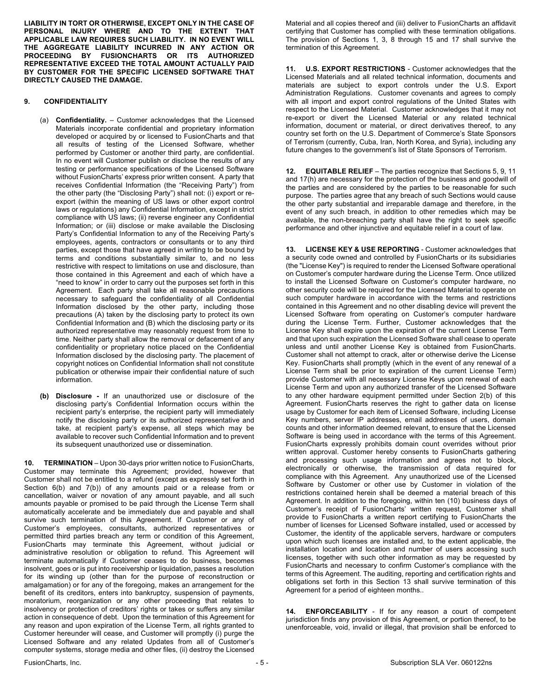**LIABILITY IN TORT OR OTHERWISE, EXCEPT ONLY IN THE CASE OF PERSONAL INJURY WHERE AND TO THE EXTENT THAT APPLICABLE LAW REQUIRES SUCH LIABILITY. IN NO EVENT WILL THE AGGREGATE LIABILITY INCURRED IN ANY ACTION OR PROCEEDING BY FUSIONCHARTS OR ITS AUTHORIZED REPRESENTATIVE EXCEED THE TOTAL AMOUNT ACTUALLY PAID BY CUSTOMER FOR THE SPECIFIC LICENSED SOFTWARE THAT DIRECTLY CAUSED THE DAMAGE.**

## **9. CONFIDENTIALITY**

- (a) **Confidentiality.** Customer acknowledges that the Licensed Materials incorporate confidential and proprietary information developed or acquired by or licensed to FusionCharts and that all results of testing of the Licensed Software, whether performed by Customer or another third party, are confidential. In no event will Customer publish or disclose the results of any testing or performance specifications of the Licensed Software without FusionCharts' express prior written consent. A party that receives Confidential Information (the "Receiving Party") from the other party (the "Disclosing Party") shall not: (i) export or reexport (within the meaning of US laws or other export control laws or regulations) any Confidential Information, except in strict compliance with US laws; (ii) reverse engineer any Confidential Information; or (iii) disclose or make available the Disclosing Party's Confidential Information to any of the Receiving Party's employees, agents, contractors or consultants or to any third parties, except those that have agreed in writing to be bound by terms and conditions substantially similar to, and no less restrictive with respect to limitations on use and disclosure, than those contained in this Agreement and each of which have a "need to know" in order to carry out the purposes set forth in this Agreement. Each party shall take all reasonable precautions necessary to safeguard the confidentiality of all Confidential Information disclosed by the other party, including those precautions (A) taken by the disclosing party to protect its own Confidential Information and (B) which the disclosing party or its authorized representative may reasonably request from time to time. Neither party shall allow the removal or defacement of any confidentiality or proprietary notice placed on the Confidential Information disclosed by the disclosing party. The placement of copyright notices on Confidential Information shall not constitute publication or otherwise impair their confidential nature of such information.
- **(b) Disclosure -** If an unauthorized use or disclosure of the disclosing party's Confidential Information occurs within the recipient party's enterprise, the recipient party will immediately notify the disclosing party or its authorized representative and take, at recipient party's expense, all steps which may be available to recover such Confidential Information and to prevent its subsequent unauthorized use or dissemination.

**10. TERMINATION** – Upon 30-days prior written notice to FusionCharts, Customer may terminate this Agreement; provided, however that Customer shall not be entitled to a refund (except as expressly set forth in Section 6(b) and 7(b)) of any amounts paid or a release from or cancellation, waiver or novation of any amount payable, and all such amounts payable or promised to be paid through the License Term shall automatically accelerate and be immediately due and payable and shall survive such termination of this Agreement. If Customer or any of Customer's employees, consultants, authorized representatives or permitted third parties breach any term or condition of this Agreement, FusionCharts may terminate this Agreement, without judicial or administrative resolution or obligation to refund. This Agreement will terminate automatically if Customer ceases to do business, becomes insolvent, goes or is put into receivership or liquidation, passes a resolution for its winding up (other than for the purpose of reconstruction or amalgamation) or for any of the foregoing, makes an arrangement for the benefit of its creditors, enters into bankruptcy, suspension of payments, moratorium, reorganization or any other proceeding that relates to insolvency or protection of creditors' rights or takes or suffers any similar action in consequence of debt. Upon the termination of this Agreement for any reason and upon expiration of the License Term, all rights granted to Customer hereunder will cease, and Customer will promptly (i) purge the Licensed Software and any related Updates from all of Customer's computer systems, storage media and other files, (ii) destroy the Licensed

Material and all copies thereof and (iii) deliver to FusionCharts an affidavit certifying that Customer has complied with these termination obligations. The provision of Sections 1, 3, 8 through 15 and 17 shall survive the termination of this Agreement.

**11. U.S. EXPORT RESTRICTIONS** - Customer acknowledges that the Licensed Materials and all related technical information, documents and materials are subject to export controls under the U.S. Export Administration Regulations. Customer covenants and agrees to comply with all import and export control regulations of the United States with respect to the Licensed Material. Customer acknowledges that it may not re-export or divert the Licensed Material or any related technical information, document or material, or direct derivatives thereof, to any country set forth on the U.S. Department of Commerce's State Sponsors of Terrorism (currently, Cuba, Iran, North Korea, and Syria), including any future changes to the government's list of State Sponsors of Terrorism.

**12. EQUITABLE RELIEF** – The parties recognize that Sections 5, 9, 11 and 17(h) are necessary for the protection of the business and goodwill of the parties and are considered by the parties to be reasonable for such purpose. The parties agree that any breach of such Sections would cause the other party substantial and irreparable damage and therefore, in the event of any such breach, in addition to other remedies which may be available, the non-breaching party shall have the right to seek specific performance and other injunctive and equitable relief in a court of law.

**13. LICENSE KEY & USE REPORTING** - Customer acknowledges that a security code owned and controlled by FusionCharts or its subsidiaries (the "License Key") is required to render the Licensed Software operational on Customer's computer hardware during the License Term. Once utilized to install the Licensed Software on Customer's computer hardware, no other security code will be required for the Licensed Material to operate on such computer hardware in accordance with the terms and restrictions contained in this Agreement and no other disabling device will prevent the Licensed Software from operating on Customer's computer hardware during the License Term. Further, Customer acknowledges that the License Key shall expire upon the expiration of the current License Term and that upon such expiration the Licensed Software shall cease to operate unless and until another License Key is obtained from FusionCharts. Customer shall not attempt to crack, alter or otherwise derive the License Key. FusionCharts shall promptly (which in the event of any renewal of a License Term shall be prior to expiration of the current License Term) provide Customer with all necessary License Keys upon renewal of each License Term and upon any authorized transfer of the Licensed Software to any other hardware equipment permitted under Section 2(b) of this Agreement. FusionCharts reserves the right to gather data on license usage by Customer for each item of Licensed Software, including License Key numbers, server IP addresses, email addresses of users, domain counts and other information deemed relevant, to ensure that the Licensed Software is being used in accordance with the terms of this Agreement. FusionCharts expressly prohibits domain count overrides without prior written approval. Customer hereby consents to FusionCharts gathering and processing such usage information and agrees not to block, electronically or otherwise, the transmission of data required for compliance with this Agreement. Any unauthorized use of the Licensed Software by Customer or other use by Customer in violation of the restrictions contained herein shall be deemed a material breach of this Agreement. In addition to the foregoing, within ten (10) business days of Customer's receipt of FusionCharts' written request, Customer shall provide to FusionCharts a written report certifying to FusionCharts the number of licenses for Licensed Software installed, used or accessed by Customer, the identity of the applicable servers, hardware or computers upon which such licenses are installed and, to the extent applicable, the installation location and location and number of users accessing such licenses, together with such other information as may be requested by FusionCharts and necessary to confirm Customer's compliance with the terms of this Agreement. The auditing, reporting and certification rights and obligations set forth in this Section 13 shall survive termination of this Agreement for a period of eighteen months..

**14. ENFORCEABILITY** - If for any reason a court of competent jurisdiction finds any provision of this Agreement, or portion thereof, to be unenforceable, void, invalid or illegal, that provision shall be enforced to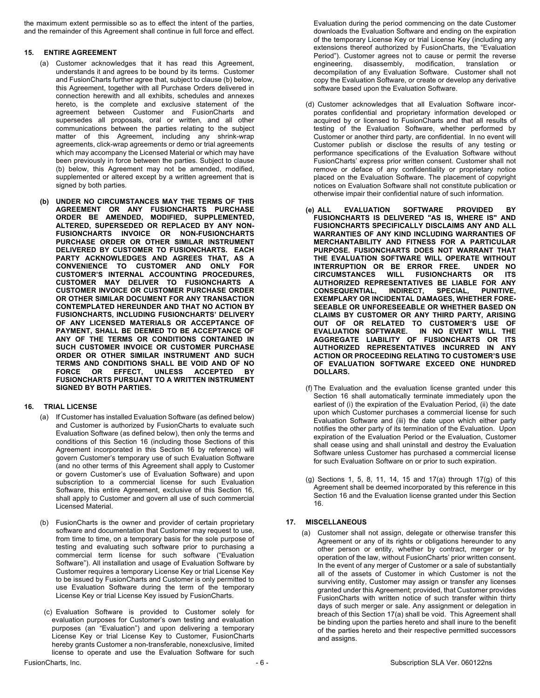the maximum extent permissible so as to effect the intent of the parties, and the remainder of this Agreement shall continue in full force and effect.

### **15. ENTIRE AGREEMENT**

- (a) Customer acknowledges that it has read this Agreement, understands it and agrees to be bound by its terms. Customer and FusionCharts further agree that, subject to clause (b) below, this Agreement, together with all Purchase Orders delivered in connection herewith and all exhibits, schedules and annexes hereto, is the complete and exclusive statement of the agreement between Customer and FusionCharts and supersedes all proposals, oral or written, and all other communications between the parties relating to the subject matter of this Agreement, including any shrink-wrap agreements, click-wrap agreements or demo or trial agreements which may accompany the Licensed Material or which may have been previously in force between the parties. Subject to clause (b) below, this Agreement may not be amended, modified, supplemented or altered except by a written agreement that is signed by both parties.
- **(b) UNDER NO CIRCUMSTANCES MAY THE TERMS OF THIS AGREEMENT OR ANY FUSIONCHARTS PURCHASE ORDER BE AMENDED, MODIFIED, SUPPLEMENTED, ALTERED, SUPERSEDED OR REPLACED BY ANY NON-FUSIONCHARTS INVOICE OR NON-FUSIONCHARTS PURCHASE ORDER OR OTHER SIMILAR INSTRUMENT DELIVERED BY CUSTOMER TO FUSIONCHARTS. EACH PARTY ACKNOWLEDGES AND AGREES THAT, AS A CONVENIENCE TO CUSTOMER AND ONLY FOR CUSTOMER'S INTERNAL ACCOUNTING PROCEDURES, CUSTOMER MAY DELIVER TO FUSIONCHARTS A CUSTOMER INVOICE OR CUSTOMER PURCHASE ORDER OR OTHER SIMILAR DOCUMENT FOR ANY TRANSACTION CONTEMPLATED HEREUNDER AND THAT NO ACTION BY FUSIONCHARTS, INCLUDING FUSIONCHARTS' DELIVERY OF ANY LICENSED MATERIALS OR ACCEPTANCE OF PAYMENT, SHALL BE DEEMED TO BE ACCEPTANCE OF ANY OF THE TERMS OR CONDITIONS CONTAINED IN SUCH CUSTOMER INVOICE OR CUSTOMER PURCHASE ORDER OR OTHER SIMILAR INSTRUMENT AND SUCH TERMS AND CONDITIONS SHALL BE VOID AND OF NO FORCE OR EFFECT, UNLESS ACCEPTED BY FUSIONCHARTS PURSUANT TO A WRITTEN INSTRUMENT SIGNED BY BOTH PARTIES.**

### **16. TRIAL LICENSE**

- (a) If Customer has installed Evaluation Software (as defined below) and Customer is authorized by FusionCharts to evaluate such Evaluation Software (as defined below), then only the terms and conditions of this Section 16 (including those Sections of this Agreement incorporated in this Section 16 by reference) will govern Customer's temporary use of such Evaluation Software (and no other terms of this Agreement shall apply to Customer or govern Customer's use of Evaluation Software) and upon subscription to a commercial license for such Evaluation Software, this entire Agreement, exclusive of this Section 16, shall apply to Customer and govern all use of such commercial Licensed Material.
- (b) FusionCharts is the owner and provider of certain proprietary software and documentation that Customer may request to use, from time to time, on a temporary basis for the sole purpose of testing and evaluating such software prior to purchasing a commercial term license for such software ("Evaluation Software"). All installation and usage of Evaluation Software by Customer requires a temporary License Key or trial License Key to be issued by FusionCharts and Customer is only permitted to use Evaluation Software during the term of the temporary License Key or trial License Key issued by FusionCharts.
- (c) Evaluation Software is provided to Customer solely for evaluation purposes for Customer's own testing and evaluation purposes (an "Evaluation") and upon delivering a temporary License Key or trial License Key to Customer, FusionCharts hereby grants Customer a non-transferable, nonexclusive, limited license to operate and use the Evaluation Software for such

Evaluation during the period commencing on the date Customer downloads the Evaluation Software and ending on the expiration of the temporary License Key or trial License Key (including any extensions thereof authorized by FusionCharts, the "Evaluation Period"). Customer agrees not to cause or permit the reverse engineering, disassembly, modification, translation or decompilation of any Evaluation Software. Customer shall not copy the Evaluation Software, or create or develop any derivative software based upon the Evaluation Software.

- (d) Customer acknowledges that all Evaluation Software incorporates confidential and proprietary information developed or acquired by or licensed to FusionCharts and that all results of testing of the Evaluation Software, whether performed by Customer or another third party, are confidential. In no event will Customer publish or disclose the results of any testing or performance specifications of the Evaluation Software without FusionCharts' express prior written consent. Customer shall not remove or deface of any confidentiality or proprietary notice placed on the Evaluation Software. The placement of copyright notices on Evaluation Software shall not constitute publication or otherwise impair their confidential nature of such information.
- **(e) ALL EVALUATION SOFTWARE PROVIDED BY FUSIONCHARTS IS DELIVERED "AS IS, WHERE IS" AND FUSIONCHARTS SPECIFICALLY DISCLAIMS ANY AND ALL WARRANTIES OF ANY KIND INCLUDING WARRANTIES OF MERCHANTABILITY AND FITNESS FOR A PARTICULAR PURPOSE. FUSIONCHARTS DOES NOT WARRANT THAT THE EVALUATION SOFTWARE WILL OPERATE WITHOUT INTERRUPTION OR BE ERROR FREE. UNDER NO**   $CIRCUMSTANCES$ **AUTHORIZED REPRESENTATIVES BE LIABLE FOR ANY CONSEQUENTIAL, INDIRECT, SPECIAL, PUNITIVE, EXEMPLARY OR INCIDENTAL DAMAGES, WHETHER FORE-SEEABLE OR UNFORESEEABLE OR WHETHER BASED ON CLAIMS BY CUSTOMER OR ANY THIRD PARTY, ARISING OUT OF OR RELATED TO CUSTOMER'S USE OF EVALUATION SOFTWARE. IN NO EVENT WILL THE AGGREGATE LIABILITY OF FUSIONCHARTS OR ITS AUTHORIZED REPRESENTATIVES INCURRED IN ANY ACTION OR PROCEEDING RELATING TO CUSTOMER'S USE OF EVALUATION SOFTWARE EXCEED ONE HUNDRED DOLLARS.**
- (f) The Evaluation and the evaluation license granted under this Section 16 shall automatically terminate immediately upon the earliest of (i) the expiration of the Evaluation Period, (ii) the date upon which Customer purchases a commercial license for such Evaluation Software and (iii) the date upon which either party notifies the other party of its termination of the Evaluation. Upon expiration of the Evaluation Period or the Evaluation, Customer shall cease using and shall uninstall and destroy the Evaluation Software unless Customer has purchased a commercial license for such Evaluation Software on or prior to such expiration.
- (g) Sections 1, 5, 8, 11, 14, 15 and 17(a) through 17(g) of this Agreement shall be deemed incorporated by this reference in this Section 16 and the Evaluation license granted under this Section 16.

## **17. MISCELLANEOUS**

(a) Customer shall not assign, delegate or otherwise transfer this Agreement or any of its rights or obligations hereunder to any other person or entity, whether by contract, merger or by operation of the law, without FusionCharts' prior written consent. In the event of any merger of Customer or a sale of substantially all of the assets of Customer in which Customer is not the surviving entity, Customer may assign or transfer any licenses granted under this Agreement; provided, that Customer provides FusionCharts with written notice of such transfer within thirty days of such merger or sale. Any assignment or delegation in breach of this Section 17(a) shall be void. This Agreement shall be binding upon the parties hereto and shall inure to the benefit of the parties hereto and their respective permitted successors and assigns.